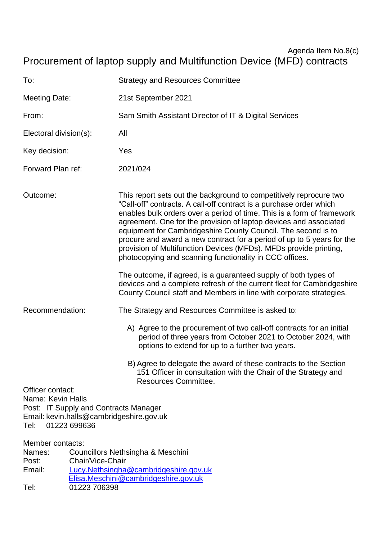# Agenda Item No.8(c) Procurement of laptop supply and Multifunction Device (MFD) contracts

| To:                                                                                                                                                                                     |                                                       | <b>Strategy and Resources Committee</b>                                                                                                                                                                                                                                                                                                                                                                                                                                                                                                                             |
|-----------------------------------------------------------------------------------------------------------------------------------------------------------------------------------------|-------------------------------------------------------|---------------------------------------------------------------------------------------------------------------------------------------------------------------------------------------------------------------------------------------------------------------------------------------------------------------------------------------------------------------------------------------------------------------------------------------------------------------------------------------------------------------------------------------------------------------------|
| <b>Meeting Date:</b>                                                                                                                                                                    |                                                       | 21st September 2021                                                                                                                                                                                                                                                                                                                                                                                                                                                                                                                                                 |
| From:                                                                                                                                                                                   |                                                       | Sam Smith Assistant Director of IT & Digital Services                                                                                                                                                                                                                                                                                                                                                                                                                                                                                                               |
| Electoral division(s):                                                                                                                                                                  |                                                       | All                                                                                                                                                                                                                                                                                                                                                                                                                                                                                                                                                                 |
| Key decision:                                                                                                                                                                           |                                                       | Yes                                                                                                                                                                                                                                                                                                                                                                                                                                                                                                                                                                 |
| Forward Plan ref:                                                                                                                                                                       |                                                       | 2021/024                                                                                                                                                                                                                                                                                                                                                                                                                                                                                                                                                            |
| Outcome:                                                                                                                                                                                |                                                       | This report sets out the background to competitively reprocure two<br>"Call-off" contracts. A call-off contract is a purchase order which<br>enables bulk orders over a period of time. This is a form of framework<br>agreement. One for the provision of laptop devices and associated<br>equipment for Cambridgeshire County Council. The second is to<br>procure and award a new contract for a period of up to 5 years for the<br>provision of Multifunction Devices (MFDs). MFDs provide printing,<br>photocopying and scanning functionality in CCC offices. |
|                                                                                                                                                                                         |                                                       | The outcome, if agreed, is a guaranteed supply of both types of<br>devices and a complete refresh of the current fleet for Cambridgeshire<br>County Council staff and Members in line with corporate strategies.                                                                                                                                                                                                                                                                                                                                                    |
| Recommendation:                                                                                                                                                                         |                                                       | The Strategy and Resources Committee is asked to:                                                                                                                                                                                                                                                                                                                                                                                                                                                                                                                   |
|                                                                                                                                                                                         |                                                       | A) Agree to the procurement of two call-off contracts for an initial<br>period of three years from October 2021 to October 2024, with<br>options to extend for up to a further two years.                                                                                                                                                                                                                                                                                                                                                                           |
|                                                                                                                                                                                         |                                                       | B) Agree to delegate the award of these contracts to the Section<br>151 Officer in consultation with the Chair of the Strategy and<br><b>Resources Committee.</b>                                                                                                                                                                                                                                                                                                                                                                                                   |
| Officer contact:<br>Name: Kevin Halls<br>Tel:                                                                                                                                           | Post: IT Supply and Contracts Manager<br>01223 699636 | Email: kevin.halls@cambridgeshire.gov.uk                                                                                                                                                                                                                                                                                                                                                                                                                                                                                                                            |
| Member contacts:<br>Councillors Nethsingha & Meschini<br>Names:<br>Chair/Vice-Chair<br>Post:<br>Lucy.Nethsingha@cambridgeshire.gov.uk<br>Email:<br>Elisa.Meschini@cambridgeshire.gov.uk |                                                       |                                                                                                                                                                                                                                                                                                                                                                                                                                                                                                                                                                     |
| Tel:                                                                                                                                                                                    | 01223 706398                                          |                                                                                                                                                                                                                                                                                                                                                                                                                                                                                                                                                                     |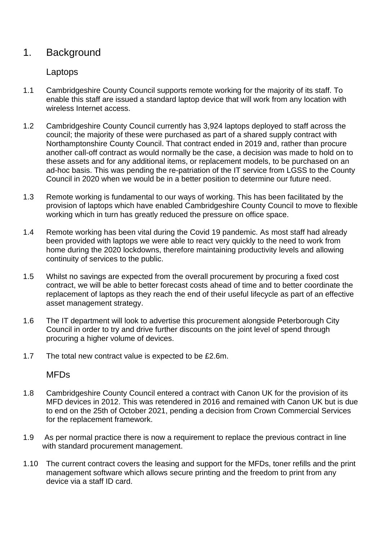# 1. Background

### Laptops

- 1.1 Cambridgeshire County Council supports remote working for the majority of its staff. To enable this staff are issued a standard laptop device that will work from any location with wireless Internet access.
- 1.2 Cambridgeshire County Council currently has 3,924 laptops deployed to staff across the council; the majority of these were purchased as part of a shared supply contract with Northamptonshire County Council. That contract ended in 2019 and, rather than procure another call-off contract as would normally be the case, a decision was made to hold on to these assets and for any additional items, or replacement models, to be purchased on an ad-hoc basis. This was pending the re-patriation of the IT service from LGSS to the County Council in 2020 when we would be in a better position to determine our future need.
- 1.3 Remote working is fundamental to our ways of working. This has been facilitated by the provision of laptops which have enabled Cambridgeshire County Council to move to flexible working which in turn has greatly reduced the pressure on office space.
- 1.4 Remote working has been vital during the Covid 19 pandemic. As most staff had already been provided with laptops we were able to react very quickly to the need to work from home during the 2020 lockdowns, therefore maintaining productivity levels and allowing continuity of services to the public.
- 1.5 Whilst no savings are expected from the overall procurement by procuring a fixed cost contract, we will be able to better forecast costs ahead of time and to better coordinate the replacement of laptops as they reach the end of their useful lifecycle as part of an effective asset management strategy.
- 1.6 The IT department will look to advertise this procurement alongside Peterborough City Council in order to try and drive further discounts on the joint level of spend through procuring a higher volume of devices.
- 1.7 The total new contract value is expected to be £2.6m.

### MFDs

- 1.8 Cambridgeshire County Council entered a contract with Canon UK for the provision of its MFD devices in 2012. This was retendered in 2016 and remained with Canon UK but is due to end on the 25th of October 2021, pending a decision from Crown Commercial Services for the replacement framework.
- 1.9 As per normal practice there is now a requirement to replace the previous contract in line with standard procurement management.
- 1.10 The current contract covers the leasing and support for the MFDs, toner refills and the print management software which allows secure printing and the freedom to print from any device via a staff ID card.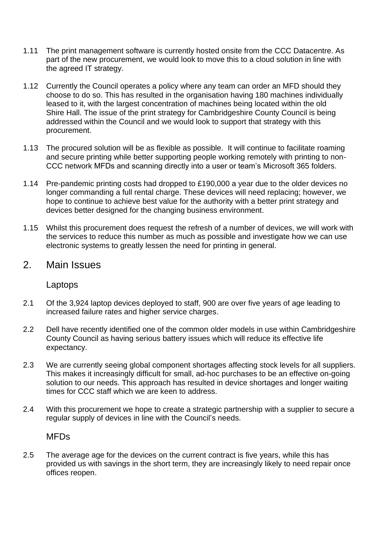- 1.11 The print management software is currently hosted onsite from the CCC Datacentre. As part of the new procurement, we would look to move this to a cloud solution in line with the agreed IT strategy.
- 1.12 Currently the Council operates a policy where any team can order an MFD should they choose to do so. This has resulted in the organisation having 180 machines individually leased to it, with the largest concentration of machines being located within the old Shire Hall. The issue of the print strategy for Cambridgeshire County Council is being addressed within the Council and we would look to support that strategy with this procurement.
- 1.13 The procured solution will be as flexible as possible. It will continue to facilitate roaming and secure printing while better supporting people working remotely with printing to non-CCC network MFDs and scanning directly into a user or team's Microsoft 365 folders.
- 1.14 Pre-pandemic printing costs had dropped to £190,000 a year due to the older devices no longer commanding a full rental charge. These devices will need replacing; however, we hope to continue to achieve best value for the authority with a better print strategy and devices better designed for the changing business environment.
- 1.15 Whilst this procurement does request the refresh of a number of devices, we will work with the services to reduce this number as much as possible and investigate how we can use electronic systems to greatly lessen the need for printing in general.

# 2. Main Issues

#### Laptops

- 2.1 Of the 3,924 laptop devices deployed to staff, 900 are over five years of age leading to increased failure rates and higher service charges.
- 2.2 Dell have recently identified one of the common older models in use within Cambridgeshire County Council as having serious battery issues which will reduce its effective life expectancy.
- 2.3 We are currently seeing global component shortages affecting stock levels for all suppliers. This makes it increasingly difficult for small, ad-hoc purchases to be an effective on-going solution to our needs. This approach has resulted in device shortages and longer waiting times for CCC staff which we are keen to address.
- 2.4 With this procurement we hope to create a strategic partnership with a supplier to secure a regular supply of devices in line with the Council's needs.

#### MFDs

2.5 The average age for the devices on the current contract is five years, while this has provided us with savings in the short term, they are increasingly likely to need repair once offices reopen.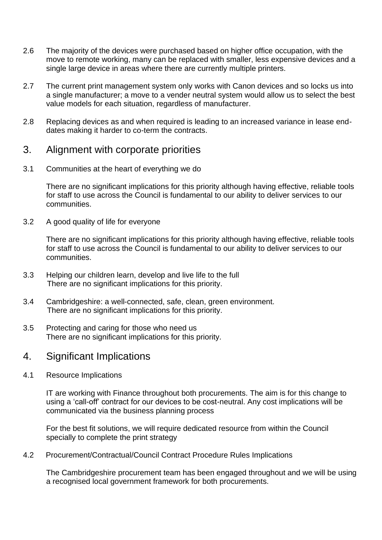- 2.6 The majority of the devices were purchased based on higher office occupation, with the move to remote working, many can be replaced with smaller, less expensive devices and a single large device in areas where there are currently multiple printers.
- 2.7 The current print management system only works with Canon devices and so locks us into a single manufacturer; a move to a vender neutral system would allow us to select the best value models for each situation, regardless of manufacturer.
- 2.8 Replacing devices as and when required is leading to an increased variance in lease enddates making it harder to co-term the contracts.

### 3. Alignment with corporate priorities

3.1 Communities at the heart of everything we do

There are no significant implications for this priority although having effective, reliable tools for staff to use across the Council is fundamental to our ability to deliver services to our communities.

3.2 A good quality of life for everyone

There are no significant implications for this priority although having effective, reliable tools for staff to use across the Council is fundamental to our ability to deliver services to our communities.

- 3.3 Helping our children learn, develop and live life to the full There are no significant implications for this priority.
- 3.4 Cambridgeshire: a well-connected, safe, clean, green environment. There are no significant implications for this priority.
- 3.5 Protecting and caring for those who need us There are no significant implications for this priority.

# 4. Significant Implications

4.1 Resource Implications

IT are working with Finance throughout both procurements. The aim is for this change to using a 'call-off' contract for our devices to be cost-neutral. Any cost implications will be communicated via the business planning process

For the best fit solutions, we will require dedicated resource from within the Council specially to complete the print strategy

4.2 Procurement/Contractual/Council Contract Procedure Rules Implications

The Cambridgeshire procurement team has been engaged throughout and we will be using a recognised local government framework for both procurements.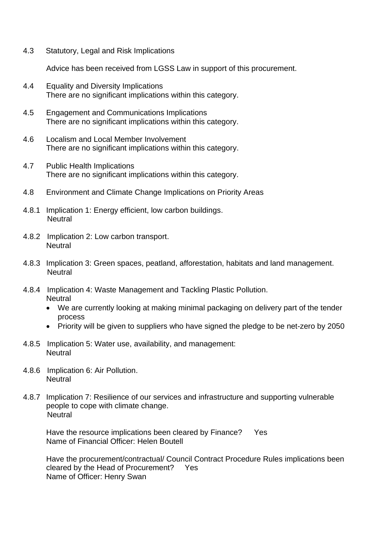4.3 Statutory, Legal and Risk Implications

Advice has been received from LGSS Law in support of this procurement.

- 4.4 Equality and Diversity Implications There are no significant implications within this category.
- 4.5 Engagement and Communications Implications There are no significant implications within this category.
- 4.6 Localism and Local Member Involvement There are no significant implications within this category.
- 4.7 Public Health Implications There are no significant implications within this category.
- 4.8 Environment and Climate Change Implications on Priority Areas
- 4.8.1 Implication 1: Energy efficient, low carbon buildings. **Neutral**
- 4.8.2 Implication 2: Low carbon transport. **Neutral**
- 4.8.3 Implication 3: Green spaces, peatland, afforestation, habitats and land management. **Neutral**
- 4.8.4 Implication 4: Waste Management and Tackling Plastic Pollution. **Neutral** 
	- We are currently looking at making minimal packaging on delivery part of the tender process
	- Priority will be given to suppliers who have signed the pledge to be net-zero by 2050
- 4.8.5 Implication 5: Water use, availability, and management: **Neutral**
- 4.8.6 Implication 6: Air Pollution. **Neutral**
- 4.8.7 Implication 7: Resilience of our services and infrastructure and supporting vulnerable people to cope with climate change. **Neutral**

Have the resource implications been cleared by Finance? Yes Name of Financial Officer: Helen Boutell

Have the procurement/contractual/ Council Contract Procedure Rules implications been cleared by the Head of Procurement? Yes Name of Officer: Henry Swan